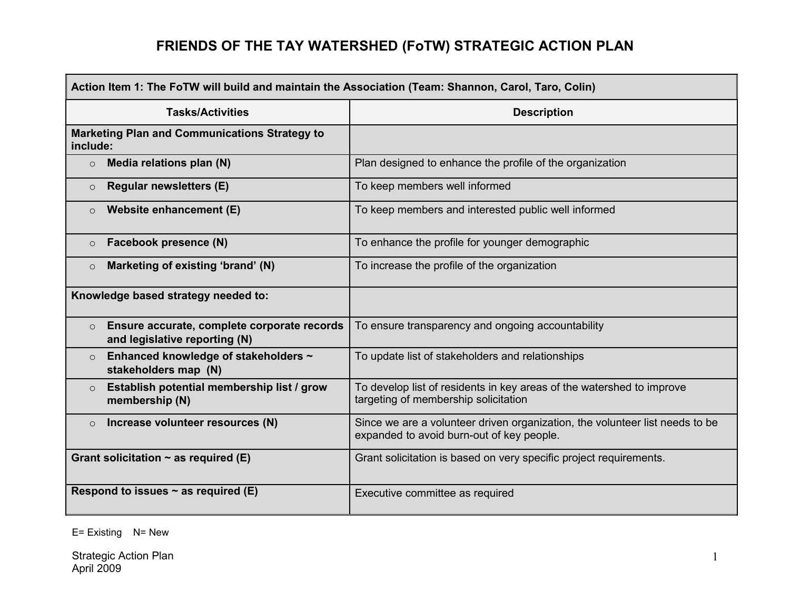| Action Item 1: The FoTW will build and maintain the Association (Team: Shannon, Carol, Taro, Colin) |                                                                                                                           |
|-----------------------------------------------------------------------------------------------------|---------------------------------------------------------------------------------------------------------------------------|
| <b>Tasks/Activities</b>                                                                             | <b>Description</b>                                                                                                        |
| <b>Marketing Plan and Communications Strategy to</b><br>include:                                    |                                                                                                                           |
| Media relations plan (N)<br>$\circ$                                                                 | Plan designed to enhance the profile of the organization                                                                  |
| <b>Regular newsletters (E)</b><br>$\circ$                                                           | To keep members well informed                                                                                             |
| Website enhancement (E)<br>$\circ$                                                                  | To keep members and interested public well informed                                                                       |
| Facebook presence (N)<br>$\circ$                                                                    | To enhance the profile for younger demographic                                                                            |
| Marketing of existing 'brand' (N)<br>$\circ$                                                        | To increase the profile of the organization                                                                               |
| Knowledge based strategy needed to:                                                                 |                                                                                                                           |
| Ensure accurate, complete corporate records<br>$\circ$<br>and legislative reporting (N)             | To ensure transparency and ongoing accountability                                                                         |
| Enhanced knowledge of stakeholders ~<br>$\circ$<br>stakeholders map (N)                             | To update list of stakeholders and relationships                                                                          |
| Establish potential membership list / grow<br>$\circ$<br>membership (N)                             | To develop list of residents in key areas of the watershed to improve<br>targeting of membership solicitation             |
| Increase volunteer resources (N)<br>$\circ$                                                         | Since we are a volunteer driven organization, the volunteer list needs to be<br>expanded to avoid burn-out of key people. |
| Grant solicitation $\sim$ as required (E)                                                           | Grant solicitation is based on very specific project requirements.                                                        |
| Respond to issues $\sim$ as required (E)                                                            | Executive committee as required                                                                                           |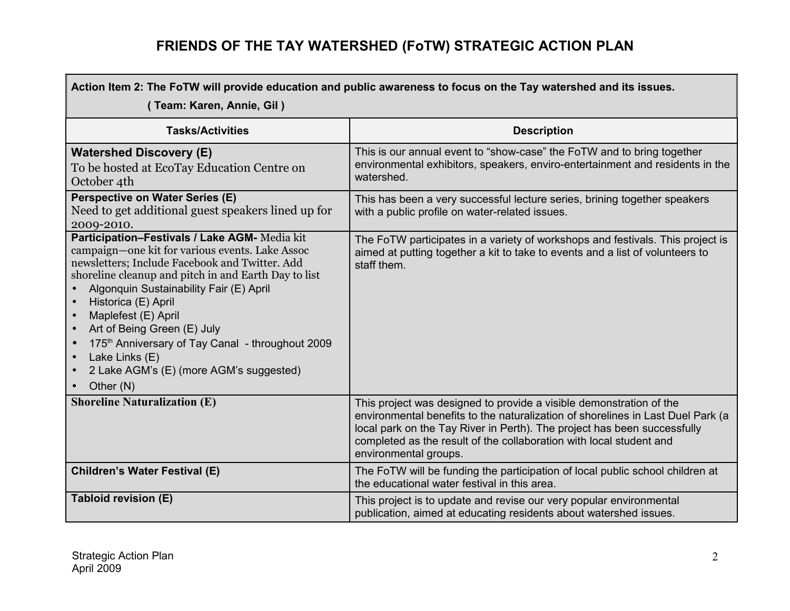| Action Item 2: The FoTW will provide education and public awareness to focus on the Tay watershed and its issues.                                                                                                                                                                                                                                                                                                                                                                                                                |                                                                                                                                                                                                                                                                                                                                    |  |
|----------------------------------------------------------------------------------------------------------------------------------------------------------------------------------------------------------------------------------------------------------------------------------------------------------------------------------------------------------------------------------------------------------------------------------------------------------------------------------------------------------------------------------|------------------------------------------------------------------------------------------------------------------------------------------------------------------------------------------------------------------------------------------------------------------------------------------------------------------------------------|--|
| (Team: Karen, Annie, Gil)                                                                                                                                                                                                                                                                                                                                                                                                                                                                                                        |                                                                                                                                                                                                                                                                                                                                    |  |
| <b>Tasks/Activities</b>                                                                                                                                                                                                                                                                                                                                                                                                                                                                                                          | <b>Description</b>                                                                                                                                                                                                                                                                                                                 |  |
| <b>Watershed Discovery (E)</b><br>To be hosted at EcoTay Education Centre on<br>October 4th                                                                                                                                                                                                                                                                                                                                                                                                                                      | This is our annual event to "show-case" the FoTW and to bring together<br>environmental exhibitors, speakers, enviro-entertainment and residents in the<br>watershed.                                                                                                                                                              |  |
| <b>Perspective on Water Series (E)</b><br>Need to get additional guest speakers lined up for<br>2009-2010.                                                                                                                                                                                                                                                                                                                                                                                                                       | This has been a very successful lecture series, brining together speakers<br>with a public profile on water-related issues.                                                                                                                                                                                                        |  |
| Participation-Festivals / Lake AGM- Media kit<br>campaign—one kit for various events. Lake Assoc<br>newsletters; Include Facebook and Twitter. Add<br>shoreline cleanup and pitch in and Earth Day to list<br>Algonquin Sustainability Fair (E) April<br>Historica (E) April<br>Maplefest (E) April<br>Art of Being Green (E) July<br>$\bullet$<br>175 <sup>th</sup> Anniversary of Tay Canal - throughout 2009<br>$\bullet$<br>Lake Links (E)<br>$\bullet$<br>2 Lake AGM's (E) (more AGM's suggested)<br>$\bullet$<br>Other (N) | The FoTW participates in a variety of workshops and festivals. This project is<br>aimed at putting together a kit to take to events and a list of volunteers to<br>staff them.                                                                                                                                                     |  |
| <b>Shoreline Naturalization (E)</b>                                                                                                                                                                                                                                                                                                                                                                                                                                                                                              | This project was designed to provide a visible demonstration of the<br>environmental benefits to the naturalization of shorelines in Last Duel Park (a<br>local park on the Tay River in Perth). The project has been successfully<br>completed as the result of the collaboration with local student and<br>environmental groups. |  |
| <b>Children's Water Festival (E)</b>                                                                                                                                                                                                                                                                                                                                                                                                                                                                                             | The FoTW will be funding the participation of local public school children at<br>the educational water festival in this area.                                                                                                                                                                                                      |  |
| Tabloid revision (E)                                                                                                                                                                                                                                                                                                                                                                                                                                                                                                             | This project is to update and revise our very popular environmental<br>publication, aimed at educating residents about watershed issues.                                                                                                                                                                                           |  |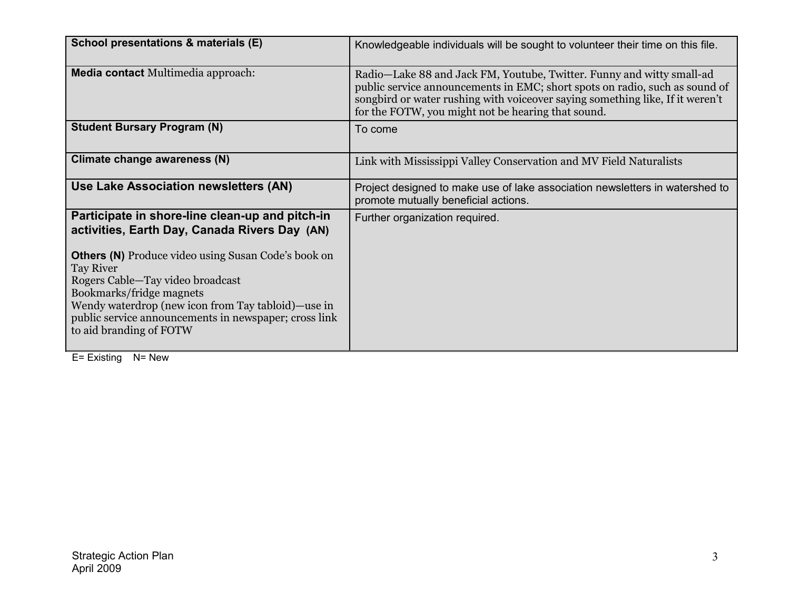| School presentations & materials (E)                                                                                                                                                                                                                                                                                                                                                         | Knowledgeable individuals will be sought to volunteer their time on this file.                                                                                                                                                                                                              |
|----------------------------------------------------------------------------------------------------------------------------------------------------------------------------------------------------------------------------------------------------------------------------------------------------------------------------------------------------------------------------------------------|---------------------------------------------------------------------------------------------------------------------------------------------------------------------------------------------------------------------------------------------------------------------------------------------|
| <b>Media contact</b> Multimedia approach:                                                                                                                                                                                                                                                                                                                                                    | Radio—Lake 88 and Jack FM, Youtube, Twitter. Funny and witty small-ad<br>public service announcements in EMC; short spots on radio, such as sound of<br>songbird or water rushing with voiceover saying something like, If it weren't<br>for the FOTW, you might not be hearing that sound. |
| <b>Student Bursary Program (N)</b>                                                                                                                                                                                                                                                                                                                                                           | To come                                                                                                                                                                                                                                                                                     |
| Climate change awareness (N)                                                                                                                                                                                                                                                                                                                                                                 | Link with Mississippi Valley Conservation and MV Field Naturalists                                                                                                                                                                                                                          |
| Use Lake Association newsletters (AN)                                                                                                                                                                                                                                                                                                                                                        | Project designed to make use of lake association newsletters in watershed to<br>promote mutually beneficial actions.                                                                                                                                                                        |
| Participate in shore-line clean-up and pitch-in<br>activities, Earth Day, Canada Rivers Day (AN)<br><b>Others (N)</b> Produce video using Susan Code's book on<br><b>Tay River</b><br>Rogers Cable—Tay video broadcast<br>Bookmarks/fridge magnets<br>Wendy waterdrop (new icon from Tay tabloid)—use in<br>public service announcements in newspaper; cross link<br>to aid branding of FOTW | Further organization required.                                                                                                                                                                                                                                                              |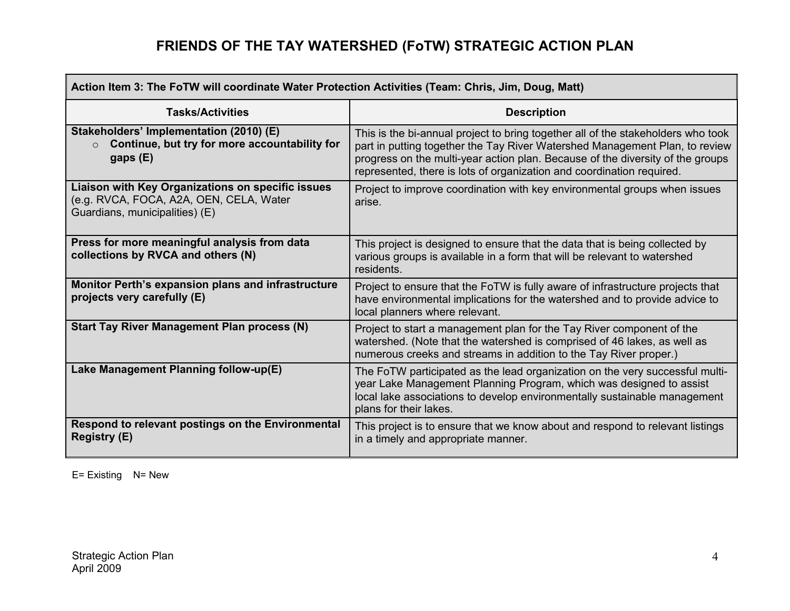| Action Item 3: The FoTW will coordinate Water Protection Activities (Team: Chris, Jim, Doug, Matt)                             |                                                                                                                                                                                                                                                                                                                            |  |
|--------------------------------------------------------------------------------------------------------------------------------|----------------------------------------------------------------------------------------------------------------------------------------------------------------------------------------------------------------------------------------------------------------------------------------------------------------------------|--|
| <b>Tasks/Activities</b>                                                                                                        | <b>Description</b>                                                                                                                                                                                                                                                                                                         |  |
| Stakeholders' Implementation (2010) (E)<br>Continue, but try for more accountability for<br>$\circ$<br>gaps $(E)$              | This is the bi-annual project to bring together all of the stakeholders who took<br>part in putting together the Tay River Watershed Management Plan, to review<br>progress on the multi-year action plan. Because of the diversity of the groups<br>represented, there is lots of organization and coordination required. |  |
| Liaison with Key Organizations on specific issues<br>(e.g. RVCA, FOCA, A2A, OEN, CELA, Water<br>Guardians, municipalities) (E) | Project to improve coordination with key environmental groups when issues<br>arise.                                                                                                                                                                                                                                        |  |
| Press for more meaningful analysis from data<br>collections by RVCA and others (N)                                             | This project is designed to ensure that the data that is being collected by<br>various groups is available in a form that will be relevant to watershed<br>residents.                                                                                                                                                      |  |
| Monitor Perth's expansion plans and infrastructure<br>projects very carefully (E)                                              | Project to ensure that the FoTW is fully aware of infrastructure projects that<br>have environmental implications for the watershed and to provide advice to<br>local planners where relevant.                                                                                                                             |  |
| <b>Start Tay River Management Plan process (N)</b>                                                                             | Project to start a management plan for the Tay River component of the<br>watershed. (Note that the watershed is comprised of 46 lakes, as well as<br>numerous creeks and streams in addition to the Tay River proper.)                                                                                                     |  |
| Lake Management Planning follow-up(E)                                                                                          | The FoTW participated as the lead organization on the very successful multi-<br>year Lake Management Planning Program, which was designed to assist<br>local lake associations to develop environmentally sustainable management<br>plans for their lakes.                                                                 |  |
| Respond to relevant postings on the Environmental<br><b>Registry (E)</b>                                                       | This project is to ensure that we know about and respond to relevant listings<br>in a timely and appropriate manner.                                                                                                                                                                                                       |  |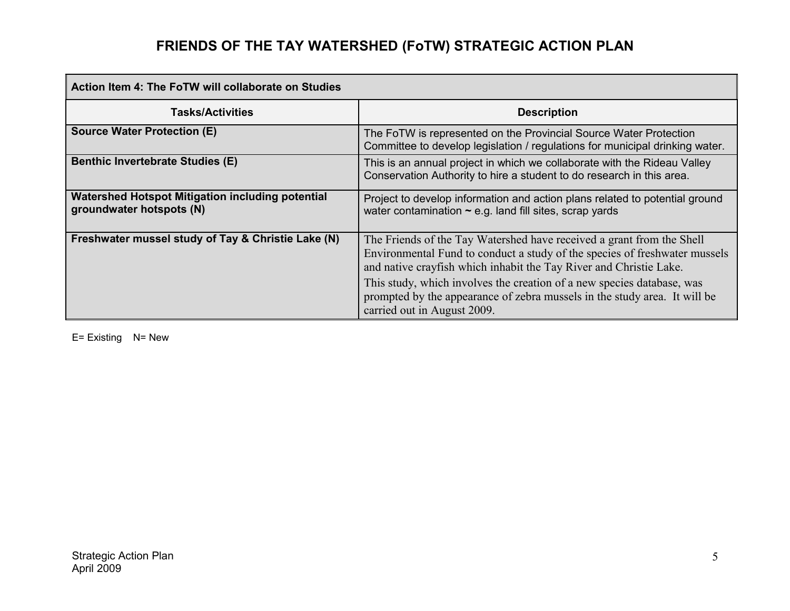| <b>Action Item 4: The FoTW will collaborate on Studies</b>                   |                                                                                                                                                                                                                                                                                                                                                                                                                 |
|------------------------------------------------------------------------------|-----------------------------------------------------------------------------------------------------------------------------------------------------------------------------------------------------------------------------------------------------------------------------------------------------------------------------------------------------------------------------------------------------------------|
| <b>Tasks/Activities</b>                                                      | <b>Description</b>                                                                                                                                                                                                                                                                                                                                                                                              |
| <b>Source Water Protection (E)</b>                                           | The FoTW is represented on the Provincial Source Water Protection<br>Committee to develop legislation / regulations for municipal drinking water.                                                                                                                                                                                                                                                               |
| <b>Benthic Invertebrate Studies (E)</b>                                      | This is an annual project in which we collaborate with the Rideau Valley<br>Conservation Authority to hire a student to do research in this area.                                                                                                                                                                                                                                                               |
| Watershed Hotspot Mitigation including potential<br>groundwater hotspots (N) | Project to develop information and action plans related to potential ground<br>water contamination $\sim$ e.g. land fill sites, scrap yards                                                                                                                                                                                                                                                                     |
| Freshwater mussel study of Tay & Christie Lake (N)                           | The Friends of the Tay Watershed have received a grant from the Shell<br>Environmental Fund to conduct a study of the species of freshwater mussels<br>and native crayfish which inhabit the Tay River and Christie Lake.<br>This study, which involves the creation of a new species database, was<br>prompted by the appearance of zebra mussels in the study area. It will be<br>carried out in August 2009. |